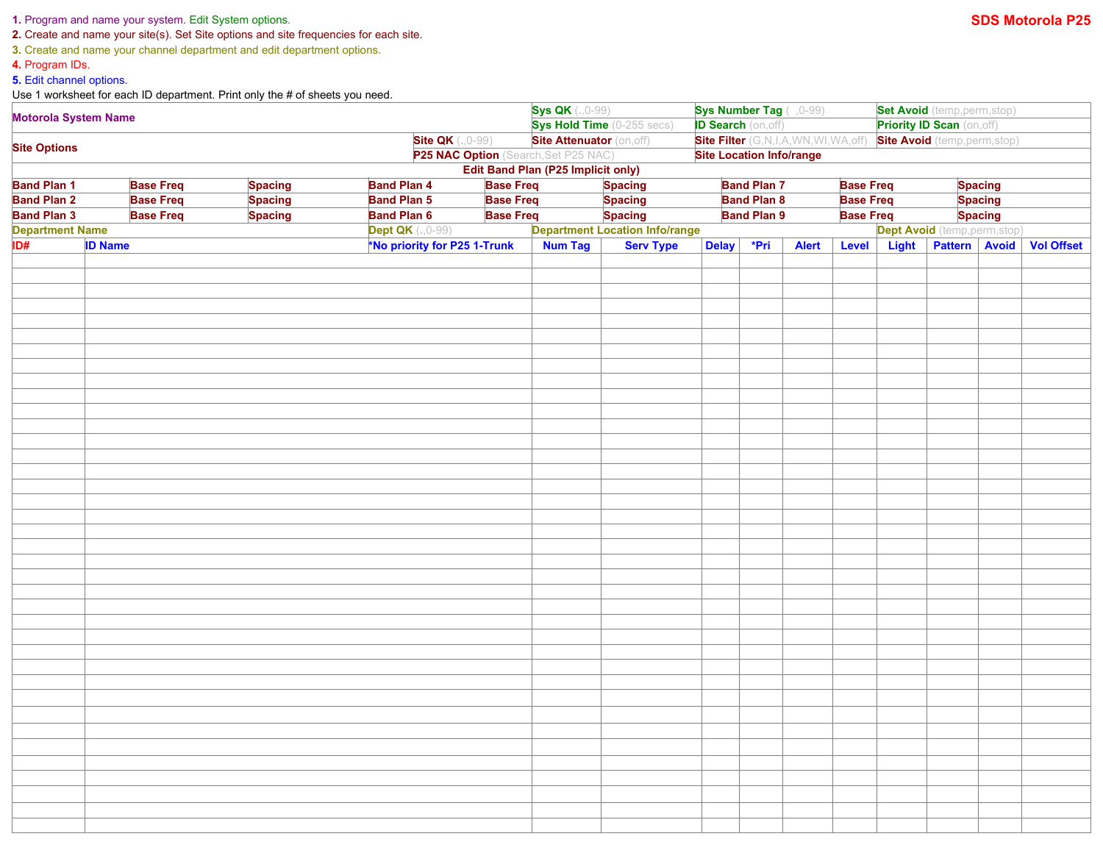## **1.** Program and name your system. Edit System options. **SDS Motorola P25**

**2.** Create and name your site(s). Set Site options and site frequencies for each site.

**3.** Create and name your channel department and edit department options.

**4.** Program IDs.

**5.** Edit channel options.

Use 1 worksheet for each ID department. Print only the # of sheets you need.

|                                                                                                                                                                                  |  |                                                                                  |                         | <b>Sys QK</b> (., 0-99)<br>Sys Hold Time (0-255 secs)<br><b>Site Attenuator (on, off)</b> |                                           | Sys Number Tag ( , 0-99)              |  |              |                                   | Set Avoid (temp, perm, stop)         |                      |                               |                   |  |
|----------------------------------------------------------------------------------------------------------------------------------------------------------------------------------|--|----------------------------------------------------------------------------------|-------------------------|-------------------------------------------------------------------------------------------|-------------------------------------------|---------------------------------------|--|--------------|-----------------------------------|--------------------------------------|----------------------|-------------------------------|-------------------|--|
| <b>Motorola System Name</b>                                                                                                                                                      |  |                                                                                  |                         |                                                                                           |                                           | <b>ID Search (on, off)</b>            |  |              | <b>Priority ID Scan (on, off)</b> |                                      |                      |                               |                   |  |
| <b>Site QK</b> (., 0-99)                                                                                                                                                         |  |                                                                                  |                         |                                                                                           |                                           | Site Filter (G,N,I,A,WN,WI,WA,off)    |  |              |                                   | <b>Site Avoid</b> (temp, perm, stop) |                      |                               |                   |  |
| <b>Site Options</b><br>P25 NAC Option (Search, Set P25 NAC)                                                                                                                      |  |                                                                                  |                         |                                                                                           |                                           | <b>Site Location Info/range</b>       |  |              |                                   |                                      |                      |                               |                   |  |
|                                                                                                                                                                                  |  |                                                                                  |                         |                                                                                           | <b>Edit Band Plan (P25 Implicit only)</b> |                                       |  |              |                                   |                                      |                      |                               |                   |  |
| <b>Base Freq</b><br><b>Spacing</b><br><b>Band Plan 4</b><br><b>Band Plan 7</b><br><b>Base Freq</b><br><b>Band Plan 1</b><br><b>Base Freq</b><br><b>Spacing</b><br><b>Spacing</b> |  |                                                                                  |                         |                                                                                           |                                           |                                       |  |              |                                   |                                      |                      |                               |                   |  |
| <b>Base Freq</b><br><b>Band Plan 2</b><br><b>Spacing</b><br><b>Base Freq</b><br><b>Band Plan 3</b><br><b>Spacing</b>                                                             |  | <b>Band Plan 5</b><br><b>Base Freq</b><br><b>Base Freq</b><br><b>Band Plan 6</b> |                         | <b>Spacing</b>                                                                            |                                           | <b>Band Plan 8</b>                    |  |              | <b>Base Freq</b>                  |                                      | <b>Spacing</b>       |                               |                   |  |
|                                                                                                                                                                                  |  |                                                                                  |                         |                                                                                           | <b>Spacing</b>                            | <b>Band Plan 9</b>                    |  |              | <b>Base Freq</b>                  |                                      | <b>Spacing</b>       |                               |                   |  |
| <b>Department Name</b>                                                                                                                                                           |  |                                                                                  | <b>Dept QK</b> (.,0-99) |                                                                                           |                                           | <b>Department Location Info/range</b> |  |              |                                   |                                      |                      | Dept Avoid (temp, perm, stop) |                   |  |
| ID#<br><b>ID Name</b>                                                                                                                                                            |  | *No priority for P25 1-Trunk                                                     |                         | <b>Num Tag</b>                                                                            | <b>Serv Type</b>                          | *Pri<br><b>Delay</b>                  |  | <b>Alert</b> | <b>Light</b><br>Level             |                                      | <b>Pattern Avoid</b> |                               | <b>Vol Offset</b> |  |
|                                                                                                                                                                                  |  |                                                                                  |                         |                                                                                           |                                           |                                       |  |              |                                   |                                      |                      |                               |                   |  |
|                                                                                                                                                                                  |  |                                                                                  |                         |                                                                                           |                                           |                                       |  |              |                                   |                                      |                      |                               |                   |  |
|                                                                                                                                                                                  |  |                                                                                  |                         |                                                                                           |                                           |                                       |  |              |                                   |                                      |                      |                               |                   |  |
|                                                                                                                                                                                  |  |                                                                                  |                         |                                                                                           |                                           |                                       |  |              |                                   |                                      |                      |                               |                   |  |
|                                                                                                                                                                                  |  |                                                                                  |                         |                                                                                           |                                           |                                       |  |              |                                   |                                      |                      |                               |                   |  |
|                                                                                                                                                                                  |  |                                                                                  |                         |                                                                                           |                                           |                                       |  |              |                                   |                                      |                      |                               |                   |  |
|                                                                                                                                                                                  |  |                                                                                  |                         |                                                                                           |                                           |                                       |  |              |                                   |                                      |                      |                               |                   |  |
|                                                                                                                                                                                  |  |                                                                                  |                         |                                                                                           |                                           |                                       |  |              |                                   |                                      |                      |                               |                   |  |
|                                                                                                                                                                                  |  |                                                                                  |                         |                                                                                           |                                           |                                       |  |              |                                   |                                      |                      |                               |                   |  |
|                                                                                                                                                                                  |  |                                                                                  |                         |                                                                                           |                                           |                                       |  |              |                                   |                                      |                      |                               |                   |  |
|                                                                                                                                                                                  |  |                                                                                  |                         |                                                                                           |                                           |                                       |  |              |                                   |                                      |                      |                               |                   |  |
|                                                                                                                                                                                  |  |                                                                                  |                         |                                                                                           |                                           |                                       |  |              |                                   |                                      |                      |                               |                   |  |
|                                                                                                                                                                                  |  |                                                                                  |                         |                                                                                           |                                           |                                       |  |              |                                   |                                      |                      |                               |                   |  |
|                                                                                                                                                                                  |  |                                                                                  |                         |                                                                                           |                                           |                                       |  |              |                                   |                                      |                      |                               |                   |  |
|                                                                                                                                                                                  |  |                                                                                  |                         |                                                                                           |                                           |                                       |  |              |                                   |                                      |                      |                               |                   |  |
|                                                                                                                                                                                  |  |                                                                                  |                         |                                                                                           |                                           |                                       |  |              |                                   |                                      |                      |                               |                   |  |
|                                                                                                                                                                                  |  |                                                                                  |                         |                                                                                           |                                           |                                       |  |              |                                   |                                      |                      |                               |                   |  |
|                                                                                                                                                                                  |  |                                                                                  |                         |                                                                                           |                                           |                                       |  |              |                                   |                                      |                      |                               |                   |  |
|                                                                                                                                                                                  |  |                                                                                  |                         |                                                                                           |                                           |                                       |  |              |                                   |                                      |                      |                               |                   |  |
|                                                                                                                                                                                  |  |                                                                                  |                         |                                                                                           |                                           |                                       |  |              |                                   |                                      |                      |                               |                   |  |
|                                                                                                                                                                                  |  |                                                                                  |                         |                                                                                           |                                           |                                       |  |              |                                   |                                      |                      |                               |                   |  |
|                                                                                                                                                                                  |  |                                                                                  |                         |                                                                                           |                                           |                                       |  |              |                                   |                                      |                      |                               |                   |  |
|                                                                                                                                                                                  |  |                                                                                  |                         |                                                                                           |                                           |                                       |  |              |                                   |                                      |                      |                               |                   |  |
|                                                                                                                                                                                  |  |                                                                                  |                         |                                                                                           |                                           |                                       |  |              |                                   |                                      |                      |                               |                   |  |
|                                                                                                                                                                                  |  |                                                                                  |                         |                                                                                           |                                           |                                       |  |              |                                   |                                      |                      |                               |                   |  |
|                                                                                                                                                                                  |  |                                                                                  |                         |                                                                                           |                                           |                                       |  |              |                                   |                                      |                      |                               |                   |  |
|                                                                                                                                                                                  |  |                                                                                  |                         |                                                                                           |                                           |                                       |  |              |                                   |                                      |                      |                               |                   |  |
|                                                                                                                                                                                  |  |                                                                                  |                         |                                                                                           |                                           |                                       |  |              |                                   |                                      |                      |                               |                   |  |
|                                                                                                                                                                                  |  |                                                                                  |                         |                                                                                           |                                           |                                       |  |              |                                   |                                      |                      |                               |                   |  |
|                                                                                                                                                                                  |  |                                                                                  |                         |                                                                                           |                                           |                                       |  |              |                                   |                                      |                      |                               |                   |  |
|                                                                                                                                                                                  |  |                                                                                  |                         |                                                                                           |                                           |                                       |  |              |                                   |                                      |                      |                               |                   |  |
|                                                                                                                                                                                  |  |                                                                                  |                         |                                                                                           |                                           |                                       |  |              |                                   |                                      |                      |                               |                   |  |
|                                                                                                                                                                                  |  |                                                                                  |                         |                                                                                           |                                           |                                       |  |              |                                   |                                      |                      |                               |                   |  |
|                                                                                                                                                                                  |  |                                                                                  |                         |                                                                                           |                                           |                                       |  |              |                                   |                                      |                      |                               |                   |  |
|                                                                                                                                                                                  |  |                                                                                  |                         |                                                                                           |                                           |                                       |  |              |                                   |                                      |                      |                               |                   |  |
|                                                                                                                                                                                  |  |                                                                                  |                         |                                                                                           |                                           |                                       |  |              |                                   |                                      |                      |                               |                   |  |
|                                                                                                                                                                                  |  |                                                                                  |                         |                                                                                           |                                           |                                       |  |              |                                   |                                      |                      |                               |                   |  |
|                                                                                                                                                                                  |  |                                                                                  |                         |                                                                                           |                                           |                                       |  |              |                                   |                                      |                      |                               |                   |  |
|                                                                                                                                                                                  |  |                                                                                  |                         |                                                                                           |                                           |                                       |  |              |                                   |                                      |                      |                               |                   |  |
|                                                                                                                                                                                  |  |                                                                                  |                         |                                                                                           |                                           |                                       |  |              |                                   |                                      |                      |                               |                   |  |